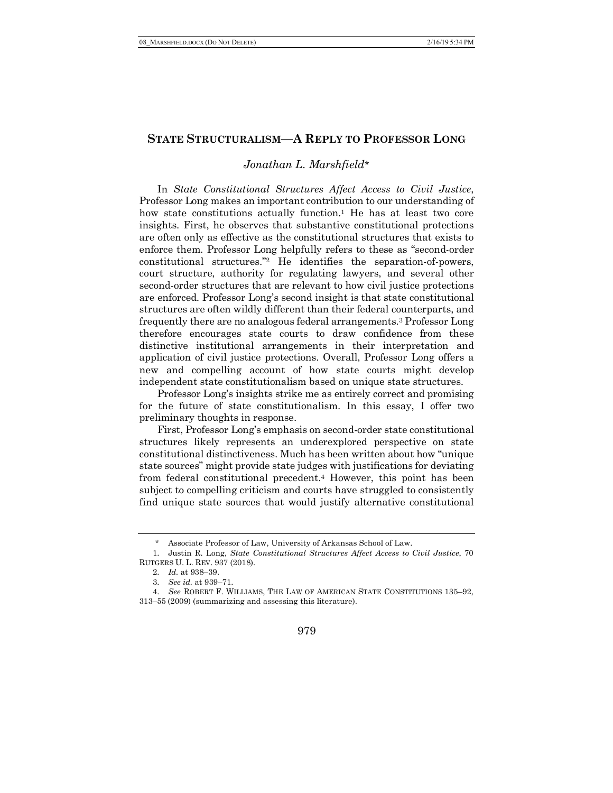## **STATE STRUCTURALISM—A REPLY TO PROFESSOR LONG**

## *Jonathan L. Marshfield*\*

In *State Constitutional Structures Affect Access to Civil Justice*, Professor Long makes an important contribution to our understanding of how state constitutions actually function.<sup>1</sup> He has at least two core insights. First, he observes that substantive constitutional protections are often only as effective as the constitutional structures that exists to enforce them. Professor Long helpfully refers to these as "second-order constitutional structures."2 He identifies the separation-of-powers, court structure, authority for regulating lawyers, and several other second-order structures that are relevant to how civil justice protections are enforced. Professor Long's second insight is that state constitutional structures are often wildly different than their federal counterparts, and frequently there are no analogous federal arrangements.3 Professor Long therefore encourages state courts to draw confidence from these distinctive institutional arrangements in their interpretation and application of civil justice protections. Overall, Professor Long offers a new and compelling account of how state courts might develop independent state constitutionalism based on unique state structures.

Professor Long's insights strike me as entirely correct and promising for the future of state constitutionalism. In this essay, I offer two preliminary thoughts in response.

First, Professor Long's emphasis on second-order state constitutional structures likely represents an underexplored perspective on state constitutional distinctiveness. Much has been written about how "unique state sources" might provide state judges with justifications for deviating from federal constitutional precedent.4 However, this point has been subject to compelling criticism and courts have struggled to consistently find unique state sources that would justify alternative constitutional

Associate Professor of Law, University of Arkansas School of Law.

<sup>1.</sup> Justin R. Long, *State Constitutional Structures Affect Access to Civil Justice*, 70 RUTGERS U. L. REV. 937 (2018).

<sup>2.</sup> *Id.* at 938–39.

<sup>3.</sup> *See id.* at 939–71.

<sup>4.</sup> *See* ROBERT F. WILLIAMS, THE LAW OF AMERICAN STATE CONSTITUTIONS 135–92, 313–55 (2009) (summarizing and assessing this literature).

<sup>979</sup>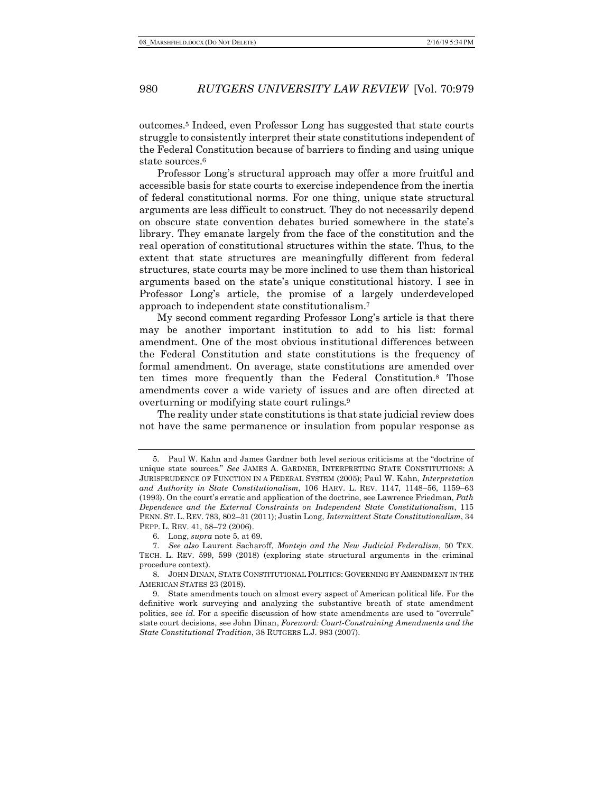## 980 *RUTGERS UNIVERSITY LAW REVIEW* [Vol. 70:979

outcomes.5 Indeed, even Professor Long has suggested that state courts struggle to consistently interpret their state constitutions independent of the Federal Constitution because of barriers to finding and using unique state sources.6

Professor Long's structural approach may offer a more fruitful and accessible basis for state courts to exercise independence from the inertia of federal constitutional norms. For one thing, unique state structural arguments are less difficult to construct. They do not necessarily depend on obscure state convention debates buried somewhere in the state's library. They emanate largely from the face of the constitution and the real operation of constitutional structures within the state. Thus, to the extent that state structures are meaningfully different from federal structures, state courts may be more inclined to use them than historical arguments based on the state's unique constitutional history. I see in Professor Long's article, the promise of a largely underdeveloped approach to independent state constitutionalism.7

My second comment regarding Professor Long's article is that there may be another important institution to add to his list: formal amendment. One of the most obvious institutional differences between the Federal Constitution and state constitutions is the frequency of formal amendment. On average, state constitutions are amended over ten times more frequently than the Federal Constitution.8 Those amendments cover a wide variety of issues and are often directed at overturning or modifying state court rulings.9

The reality under state constitutions is that state judicial review does not have the same permanence or insulation from popular response as

<sup>5.</sup> Paul W. Kahn and James Gardner both level serious criticisms at the "doctrine of unique state sources." *See* JAMES A. GARDNER, INTERPRETING STATE CONSTITUTIONS: A JURISPRUDENCE OF FUNCTION IN A FEDERAL SYSTEM (2005); Paul W. Kahn, *Interpretation and Authority in State Constitutionalism*, 106 HARV. L. REV. 1147, 1148–56, 1159–63 (1993). On the court's erratic and application of the doctrine, see Lawrence Friedman, *Path Dependence and the External Constraints on Independent State Constitutionalism*, 115 PENN. ST. L. REV. 783, 802–31 (2011); Justin Long, *Intermittent State Constitutionalism*, 34 PEPP. L. REV. 41, 58–72 (2006).

<sup>6.</sup> Long, *supra* note 5, at 69.

<sup>7.</sup> *See also* Laurent Sacharoff, *Montejo and the New Judicial Federalism*, 50 TEX. TECH. L. REV. 599, 599 (2018) (exploring state structural arguments in the criminal procedure context).

<sup>8.</sup> JOHN DINAN, STATE CONSTITUTIONAL POLITICS: GOVERNING BY AMENDMENT IN THE AMERICAN STATES 23 (2018).

<sup>9.</sup> State amendments touch on almost every aspect of American political life. For the definitive work surveying and analyzing the substantive breath of state amendment politics, see *id*. For a specific discussion of how state amendments are used to "overrule" state court decisions, see John Dinan, *Foreword: Court-Constraining Amendments and the State Constitutional Tradition*, 38 RUTGERS L.J. 983 (2007).